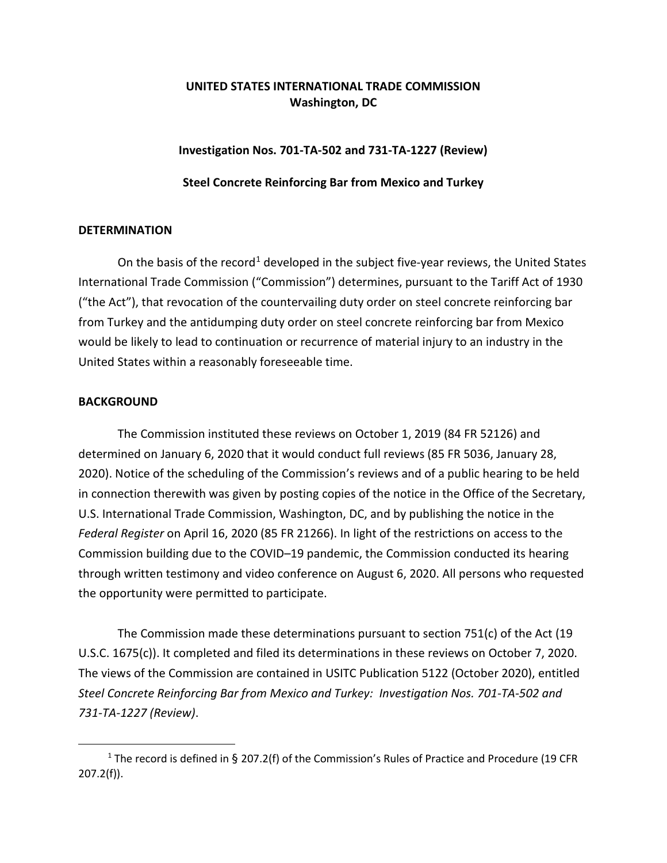# **UNITED STATES INTERNATIONAL TRADE COMMISSION Washington, DC**

## **Investigation Nos. 701-TA-502 and 731-TA-1227 (Review)**

### **Steel Concrete Reinforcing Bar from Mexico and Turkey**

### **DETERMINATION**

On the basis of the record<sup>[1](#page-0-0)</sup> developed in the subject five-year reviews, the United States International Trade Commission ("Commission") determines, pursuant to the Tariff Act of 1930 ("the Act"), that revocation of the countervailing duty order on steel concrete reinforcing bar from Turkey and the antidumping duty order on steel concrete reinforcing bar from Mexico would be likely to lead to continuation or recurrence of material injury to an industry in the United States within a reasonably foreseeable time.

### **BACKGROUND**

The Commission instituted these reviews on October 1, 2019 (84 FR 52126) and determined on January 6, 2020 that it would conduct full reviews (85 FR 5036, January 28, 2020). Notice of the scheduling of the Commission's reviews and of a public hearing to be held in connection therewith was given by posting copies of the notice in the Office of the Secretary, U.S. International Trade Commission, Washington, DC, and by publishing the notice in the *Federal Register* on April 16, 2020 (85 FR 21266). In light of the restrictions on access to the Commission building due to the COVID–19 pandemic, the Commission conducted its hearing through written testimony and video conference on August 6, 2020. All persons who requested the opportunity were permitted to participate.

The Commission made these determinations pursuant to section 751(c) of the Act (19 U.S.C. 1675(c)). It completed and filed its determinations in these reviews on October 7, 2020. The views of the Commission are contained in USITC Publication 5122 (October 2020), entitled *Steel Concrete Reinforcing Bar from Mexico and Turkey: Investigation Nos. 701-TA-502 and 731-TA-1227 (Review)*.

<span id="page-0-0"></span><sup>1</sup> The record is defined in § 207.2(f) of the Commission's Rules of Practice and Procedure (19 CFR 207.2(f)).